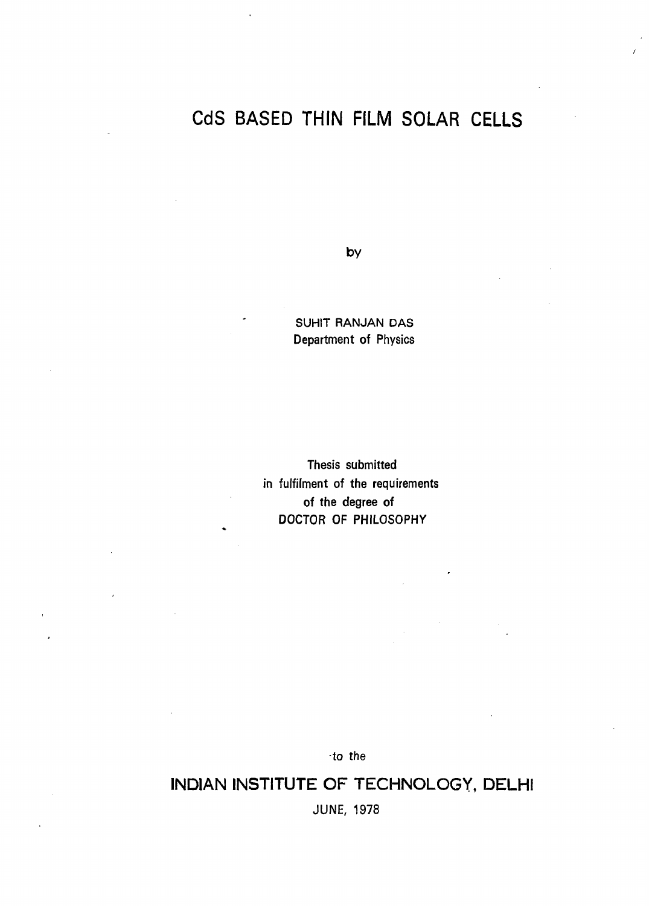## CdS BASED THIN FILM SOLAR CELLS

**by** 

SUHIT RANJAN DAS Department of Physics

Thesis submitted in fulfilment of the requirements of the degree of DOCTOR OF PHILOSOPHY

to the

INDIAN INSTITUTE OF TECHNOLOGY, DELHI JUNE, 1978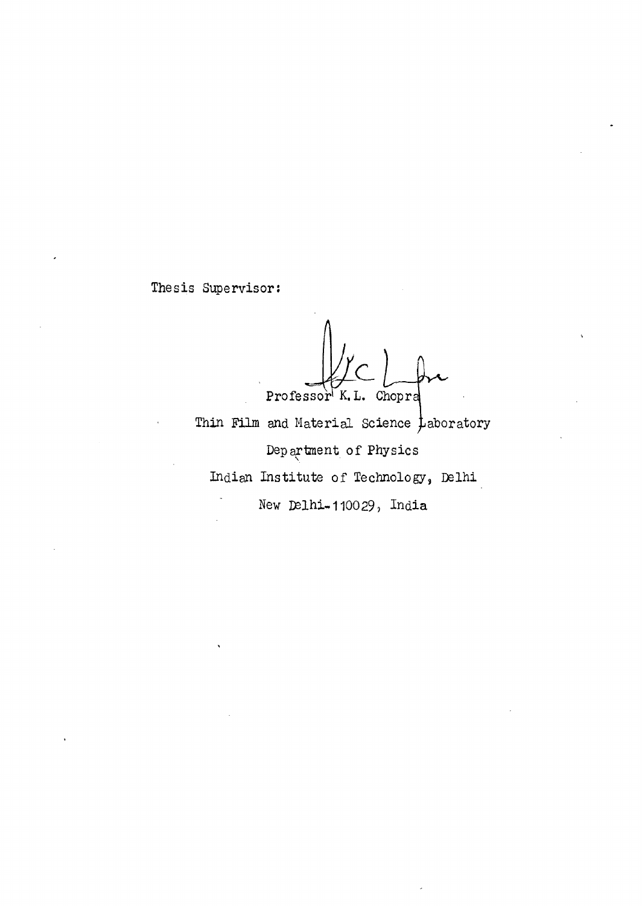Thesis Supervisor:

Professor<sup>K</sup>K. L. Chopra

Thin Film and Material Science  $\frac{1}{L}$ aboratory Department of Physics Indian Institute of Technology, Delhi New Delhi-110029, India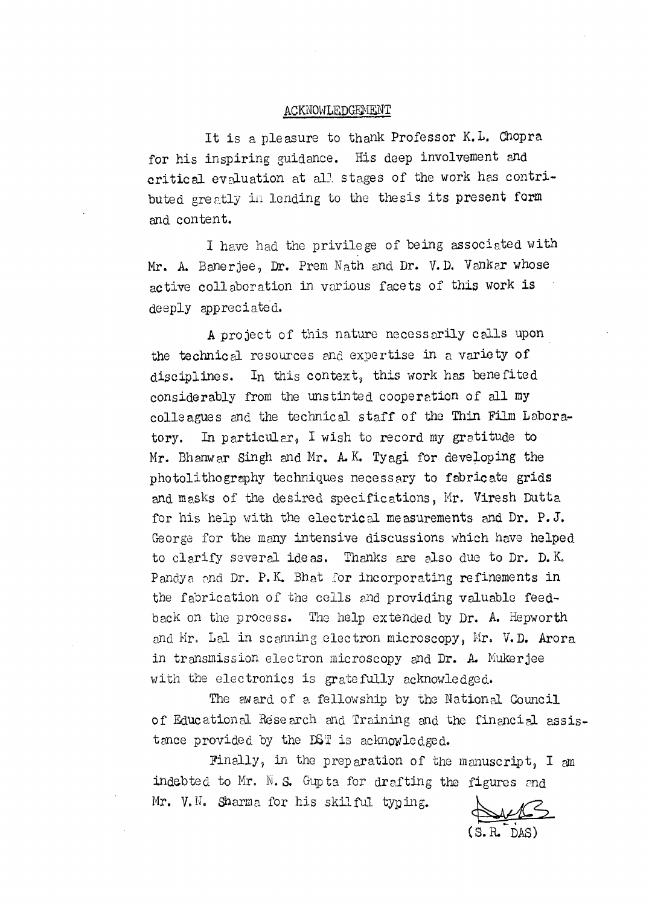## ACKNOWLEDGEMENT

It is a pleasure to thank Professor K.L. Chopra for his inspiring guidance. His deep involvement and critical evaluation at all stages of the work has contributed greatly in lending to the thesis its present form and content.

I have had the privilege of being associated with Mr. A. Banerjee, Dr. Prem Nath and Dr. V.D. Vankar whose active collaboration in various facets of this work is deeply appreciated.

A project of this nature necessarily calls upon the technical resources and expertise in a variety of disciplines. In this context, this work has benefited considerably from the unstinted cooperation of all my colleagues and the technical staff of the Thin Film Laboratory. In particular, I wish to record my gratitude to Mr. Bhanwar Singh and Mr. A. K. Tyagi for developing the photolithography techniques necessary to fabricate grids and masks of the desired specifications, Mr. Viresh Dutta for his help with the electrical measurements and Dr. P.J. George for the many intensive discussions which have helped to clarify several ideas. Thanks are also due to Dr. D. K. Pandya and Dr. P.K. Bhat for incorporating refinements in the fabrication of the cells and providing valuable feedback on the process. The help extended by Dr. A. Hepworth and Mr. Lal in scanning electron microscopy, Mr. V.D. Arora in transmission electron microscopy and Dr. A. Mukerjee with the electronics is gratefully acknowledged.

The award of a fellowship by the National Council of Educational Research and Training and the financial assistance provided by the DST is acknowledged.

Finally, in the preparation of the manuscript, I am indebted to Mr. N.S. Gupta for drafting the figures and Mr. V.N. Sharma for his skilful typing.

(S. R.-DAS)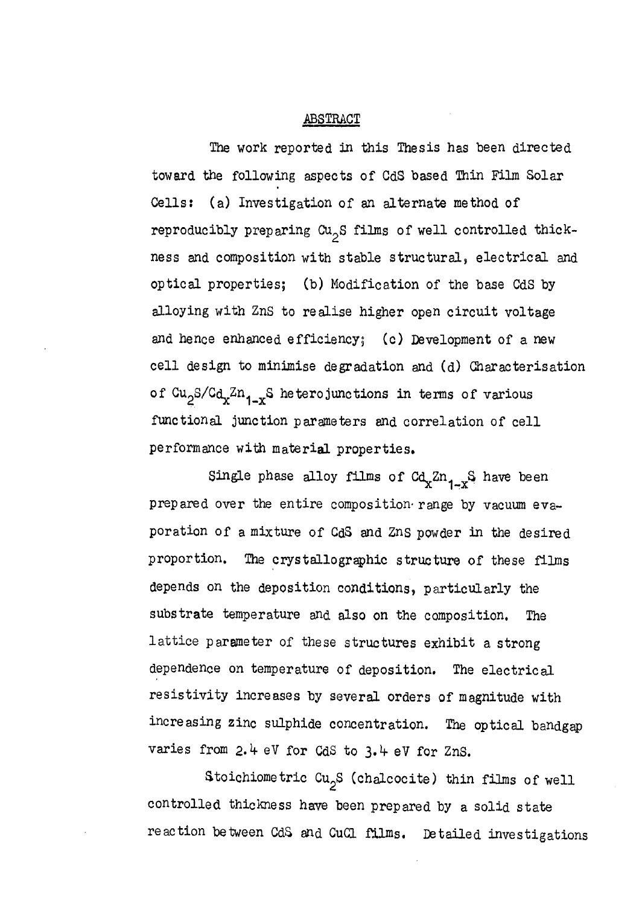## ABSTRACT

The work reported in this Thesis has been directed toward the following aspects of CdS based Thin Film Solar Cells: (a) Investigation of an alternate method of reproducibly preparing  $Cu_{2}S$  films of well controlled thickness and composition with stable structural, electrical and optical properties; (b) Modification of the base CdS by alloying with ZnS to realise higher open circuit voltage and hence enhanced efficiency; (c) Development of a new cell design to minimise degradation and (d) Characterisation of  $Cu_{2}S/Cd_{x}Zn_{1-x}S$  heterojunctions in terms of various functional junction parameters and correlation of cell performance with material properties.

Single phase alloy films of  $Cd_{x}Zn_{1-x}S$  have been prepared over the entire composition range by vacuum evaporation of a mixture of CdS and ZnS powder in the desired proportion. The crystallographic structure of these films depends on the deposition conditions, particularly the substrate temperature and also on the composition. The lattice parameter of these structures exhibit a strong dependence on temperature of deposition. The electrical resistivity increases by several orders of magnitude with increasing zinc sulphide concentration. The optical bandgap varies from 2.4 eV for CdS to 3.4 eV for ZnS.

Stoichiometric  $Cu_{2}S$  (chalcocite) thin films of well controlled thickness have been prepared by a solid state reaction between CdS and CuCl films. Detailed investigations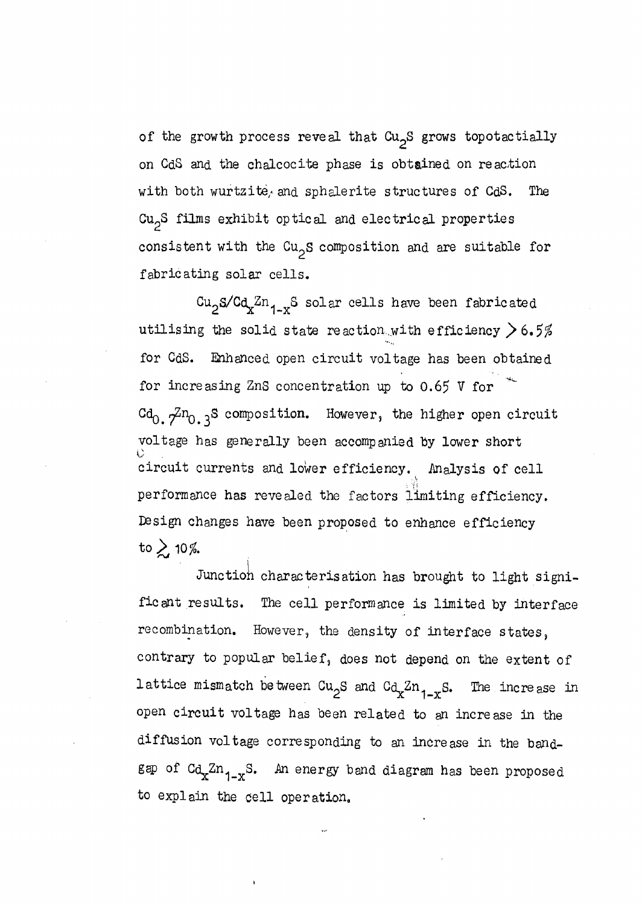of the growth process reveal that  $Cu<sub>2</sub>S$  grows topotactially on CdS and the chalcocite phase is obtained on reaction with both wurtzite, and sphalerite structures of  $CdS$ . The  $Cu<sub>2</sub>S$  films exhibit optical and electrical properties consistent with the  $Cu_{2}S$  composition and are suitable for fabricating solar cells.

 $Cu<sub>2</sub>S/Cd<sub>x</sub>Zn<sub>1-x</sub>S solar cells have been fabricated$ utilising the solid state reaction.with efficiency  $>6.5\%$ for CdS. Enhanced open circuit voltage has been obtained for incre asing ZnS concentration up to 0.65 V for  $Cd_0$ .  $7^{2n}$ <sub>0</sub>.3<sup>S</sup> composition. However, the higher open circuit voltage has generally been accompanied by lower short circuit currents and lower efficiency. Analysis of cell performance has revealed the factors limiting efficiency. Design changes have been proposed to enhance efficiency to  $\geq$  10%.

Junction characterisation has brought to light significant results. The cell performance is limited by interface recombination. However, the density of interface states, contrary to popular belief, does not depend on the extent of lattice mismatch between  $Cu_{2}S$  and  $Ca_{x}Zn_{1-x}S$ . The increase in open circuit voltage has been related to an increase in the diffusion voltage corresponding to an increase in the bandgap of  $Cd_xZn_{1-x}S$ . An energy band diagram has been proposed to explain the cell operation.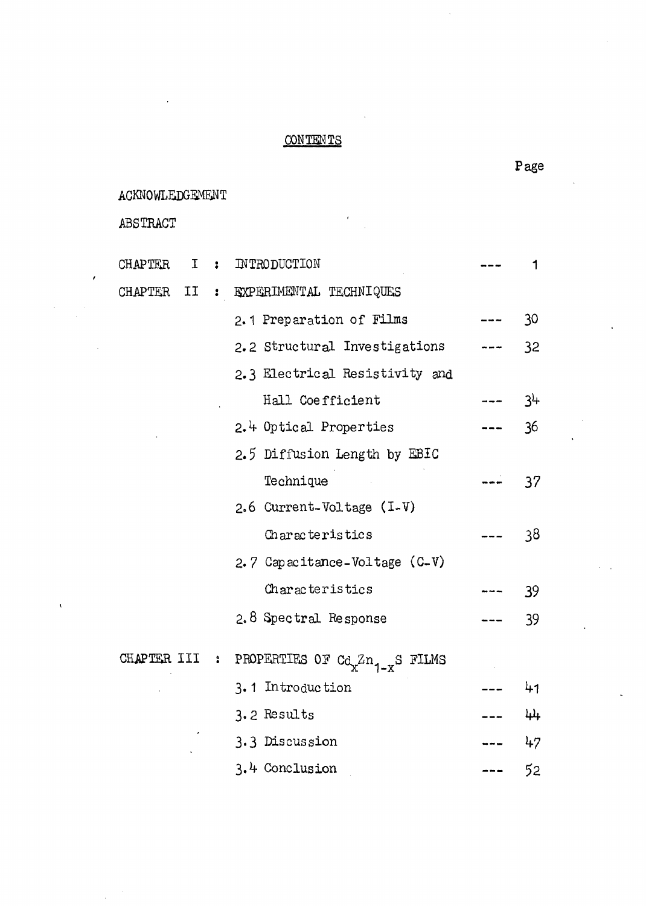## **CONTENTS**

ACKNOWLEDGEMENT

ABS TRACT

 $\lambda$ 

| <b>CHAPTER</b> | I. | $\ddot{\bullet}$ | INTRODUCTION                                 |    |
|----------------|----|------------------|----------------------------------------------|----|
| CHAPTER        | II | $\ddot{\bullet}$ | EXPERIMENTAL TECHNIQUES                      |    |
|                |    |                  | 2.1 Preparation of Films                     | 30 |
|                |    |                  | 2.2 Structural Investigations                | 32 |
|                |    |                  | 2.3 Electrical Resistivity and               |    |
|                |    |                  | Hall Coefficient                             | 34 |
|                |    |                  | 2.4 Optical Properties                       | 36 |
|                |    |                  | 2.5 Diffusion Length by EBIC                 |    |
|                |    |                  | Technique                                    | 37 |
|                |    |                  | 2.6 Current-Voltage (I-V)                    |    |
|                |    |                  | Characteristics                              | 38 |
|                |    |                  | 2.7 Capacitance-Voltage $(C-V)$              |    |
|                |    |                  | Characteristics                              | 39 |
|                |    |                  | 2.8 Spectral Response                        | 39 |
| CHAPTER III :  |    |                  | PROPERTIES OF $C_{\alpha}Z_{n_{1-x}}S$ FILMS |    |
|                |    |                  | 3.1 Introduction                             | 41 |
|                |    |                  | 3.2 Results                                  | 44 |
|                |    |                  | 3.3 Discussion                               | 47 |
|                |    |                  | 3.4 Conclusion                               | 52 |